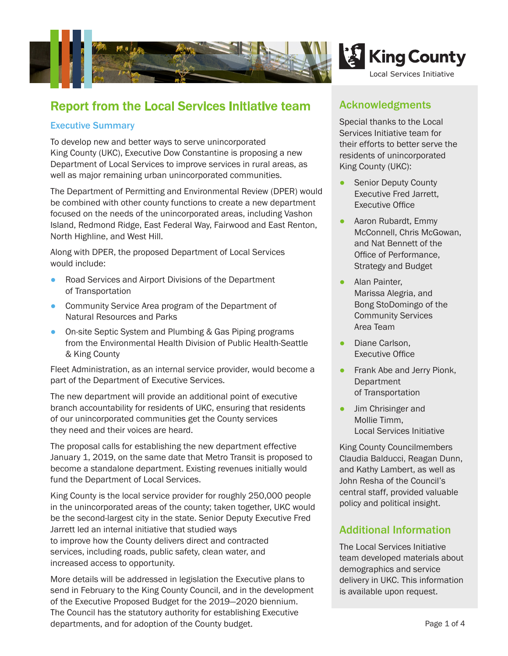

# Report from the Local Services Initiative team

### Executive Summary

To develop new and better ways to serve unincorporated King County (UKC), Executive Dow Constantine is proposing a new Department of Local Services to improve services in rural areas, as well as major remaining urban unincorporated communities.

The Department of Permitting and Environmental Review (DPER) would be combined with other county functions to create a new department focused on the needs of the unincorporated areas, including Vashon Island, Redmond Ridge, East Federal Way, Fairwood and East Renton, North Highline, and West Hill.

Along with DPER, the proposed Department of Local Services would include:

- Road Services and Airport Divisions of the Department of Transportation
- Community Service Area program of the Department of Natural Resources and Parks
- On-site Septic System and Plumbing & Gas Piping programs from the Environmental Health Division of Public Health-Seattle & King County

Fleet Administration, as an internal service provider, would become a part of the Department of Executive Services.

The new department will provide an additional point of executive branch accountability for residents of UKC, ensuring that residents of our unincorporated communities get the County services they need and their voices are heard.

The proposal calls for establishing the new department effective January 1, 2019, on the same date that Metro Transit is proposed to become a standalone department. Existing revenues initially would fund the Department of Local Services.

King County is the local service provider for roughly 250,000 people in the unincorporated areas of the county; taken together, UKC would be the second-largest city in the state. Senior Deputy Executive Fred Jarrett led an internal initiative that studied ways to improve how the County delivers direct and contracted services, including roads, public safety, clean water, and increased access to opportunity.

More details will be addressed in legislation the Executive plans to send in February to the King County Council, and in the development of the Executive Proposed Budget for the 2019―2020 biennium. The Council has the statutory authority for establishing Executive departments, and for adoption of the County budget.

### Acknowledgments

Special thanks to the Local Services Initiative team for their efforts to better serve the residents of unincorporated King County (UKC):

- **Senior Deputy County** Executive Fred Jarrett, Executive Office
- Aaron Rubardt, Emmy McConnell, Chris McGowan, and Nat Bennett of the Office of Performance, Strategy and Budget
- Alan Painter. Marissa Alegria, and Bong StoDomingo of the Community Services Area Team
- Diane Carlson, Executive Office
- **Frank Abe and Jerry Pionk, Department** of Transportation
- **Jim Chrisinger and** Mollie Timm, Local Services Initiative

King County Councilmembers Claudia Balducci, Reagan Dunn, and Kathy Lambert, as well as John Resha of the Council's central staff, provided valuable policy and political insight.

## Additional Information

The Local Services Initiative team developed materials about demographics and service delivery in UKC. This information is available upon request.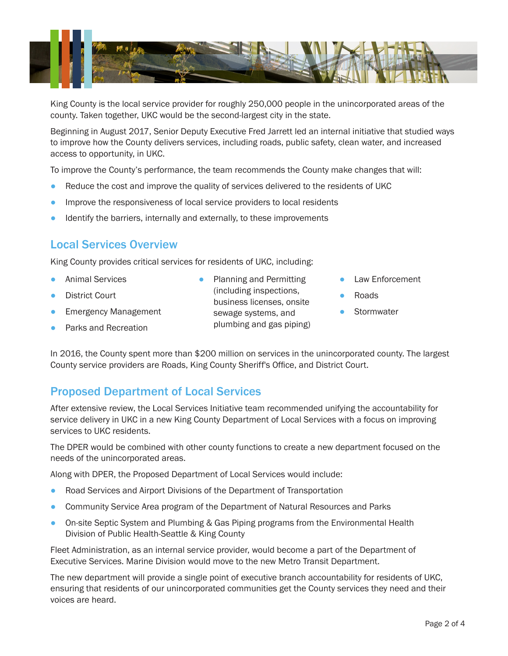

King County is the local service provider for roughly 250,000 people in the unincorporated areas of the county. Taken together, UKC would be the second-largest city in the state.

Beginning in August 2017, Senior Deputy Executive Fred Jarrett led an internal initiative that studied ways to improve how the County delivers services, including roads, public safety, clean water, and increased access to opportunity, in UKC.

To improve the County's performance, the team recommends the County make changes that will:

- Reduce the cost and improve the quality of services delivered to the residents of UKC
- **•** Improve the responsiveness of local service providers to local residents
- Identify the barriers, internally and externally, to these improvements

## Local Services Overview

King County provides critical services for residents of UKC, including:

- Animal Services
- **District Court**
- Emergency Management
- Parks and Recreation
- Planning and Permitting (including inspections, business licenses, onsite sewage systems, and plumbing and gas piping)
- **Law Enforcement**
- **Roads**
- **Stormwater**

In 2016, the County spent more than \$200 million on services in the unincorporated county. The largest County service providers are Roads, King County Sheriff's Office, and District Court.

## Proposed Department of Local Services

After extensive review, the Local Services Initiative team recommended unifying the accountability for service delivery in UKC in a new King County Department of Local Services with a focus on improving services to UKC residents.

The DPER would be combined with other county functions to create a new department focused on the needs of the unincorporated areas.

Along with DPER, the Proposed Department of Local Services would include:

- Road Services and Airport Divisions of the Department of Transportation
- Community Service Area program of the Department of Natural Resources and Parks
- On-site Septic System and Plumbing & Gas Piping programs from the Environmental Health Division of Public Health-Seattle & King County

Fleet Administration, as an internal service provider, would become a part of the Department of Executive Services. Marine Division would move to the new Metro Transit Department.

The new department will provide a single point of executive branch accountability for residents of UKC, ensuring that residents of our unincorporated communities get the County services they need and their voices are heard.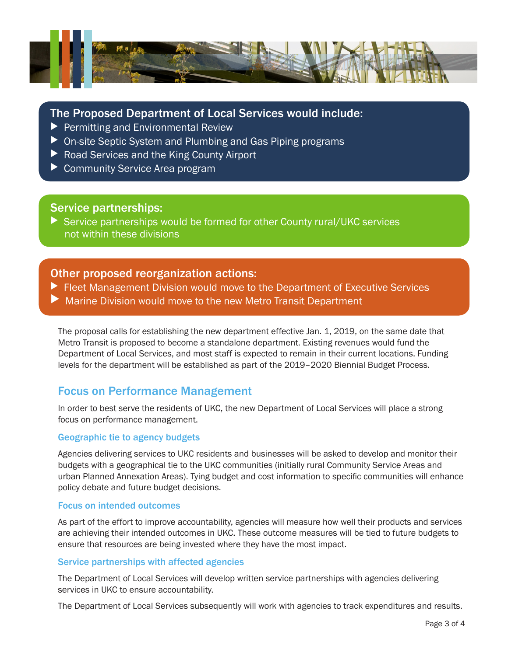

### The Proposed Department of Local Services would include:

- $\blacktriangleright$  Permitting and Environmental Review
- $\triangleright$  On-site Septic System and Plumbing and Gas Piping programs
- $\blacktriangleright$  Road Services and the King County Airport
- $\triangleright$  Community Service Area program

### Service partnerships:

Service partnerships would be formed for other County rural/UKC services not within these divisions

### Other proposed reorganization actions:

- $\blacktriangleright$  Fleet Management Division would move to the Department of Executive Services
- $\blacktriangleright$  Marine Division would move to the new Metro Transit Department

The proposal calls for establishing the new department effective Jan. 1, 2019, on the same date that Metro Transit is proposed to become a standalone department. Existing revenues would fund the Department of Local Services, and most staff is expected to remain in their current locations. Funding levels for the department will be established as part of the 2019–2020 Biennial Budget Process.

## Focus on Performance Management

In order to best serve the residents of UKC, the new Department of Local Services will place a strong focus on performance management.

#### Geographic tie to agency budgets

Agencies delivering services to UKC residents and businesses will be asked to develop and monitor their budgets with a geographical tie to the UKC communities (initially rural Community Service Areas and urban Planned Annexation Areas). Tying budget and cost information to specific communities will enhance policy debate and future budget decisions.

#### Focus on intended outcomes

As part of the effort to improve accountability, agencies will measure how well their products and services are achieving their intended outcomes in UKC. These outcome measures will be tied to future budgets to ensure that resources are being invested where they have the most impact.

#### Service partnerships with affected agencies

The Department of Local Services will develop written service partnerships with agencies delivering services in UKC to ensure accountability.

The Department of Local Services subsequently will work with agencies to track expenditures and results.